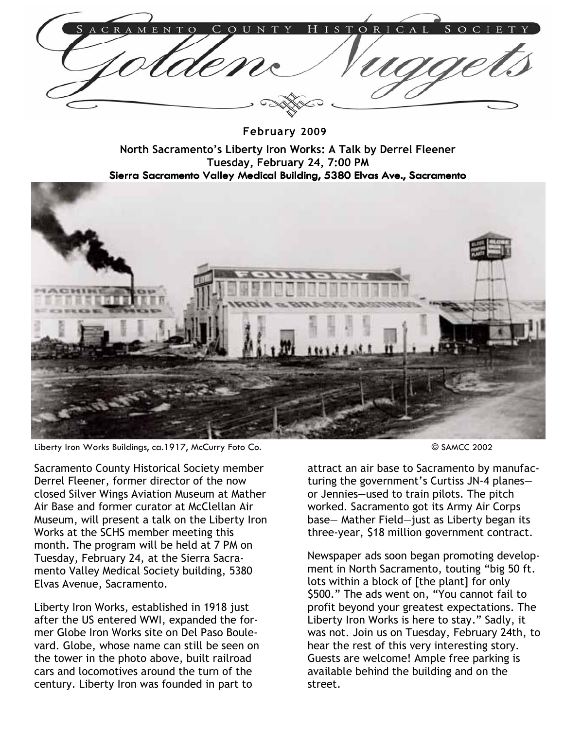February 2009

North Sacramento's Liberty Iron Works: A Talk by Derrel Fleener Tuesday, February 24, 7:00 PM Sierra Sacramento Valley Medical Building, 5380 Elvas Ave., Sacramento



Liberty Iron Works Buildings, ca.1917, McCurry Foto Co. **Example 2002** SAMCC 2002

Sacramento County Historical Society member Derrel Fleener, former director of the now closed Silver Wings Aviation Museum at Mather Air Base and former curator at McClellan Air Museum, will present a talk on the Liberty Iron Works at the SCHS member meeting this month. The program will be held at 7 PM on Tuesday, February 24, at the Sierra Sacramento Valley Medical Society building, 5380 Elvas Avenue, Sacramento.

Liberty Iron Works, established in 1918 just after the US entered WWI, expanded the former Globe Iron Works site on Del Paso Boulevard. Globe, whose name can still be seen on the tower in the photo above, built railroad cars and locomotives around the turn of the century. Liberty Iron was founded in part to

attract an air base to Sacramento by manufacturing the government's Curtiss JN-4 planes or Jennies—used to train pilots. The pitch worked. Sacramento got its Army Air Corps base— Mather Field—just as Liberty began its three-year, \$18 million government contract.

Newspaper ads soon began promoting development in North Sacramento, touting "big 50 ft. lots within a block of [the plant] for only \$500." The ads went on, "You cannot fail to profit beyond your greatest expectations. The Liberty Iron Works is here to stay." Sadly, it was not. Join us on Tuesday, February 24th, to hear the rest of this very interesting story. Guests are welcome! Ample free parking is available behind the building and on the street.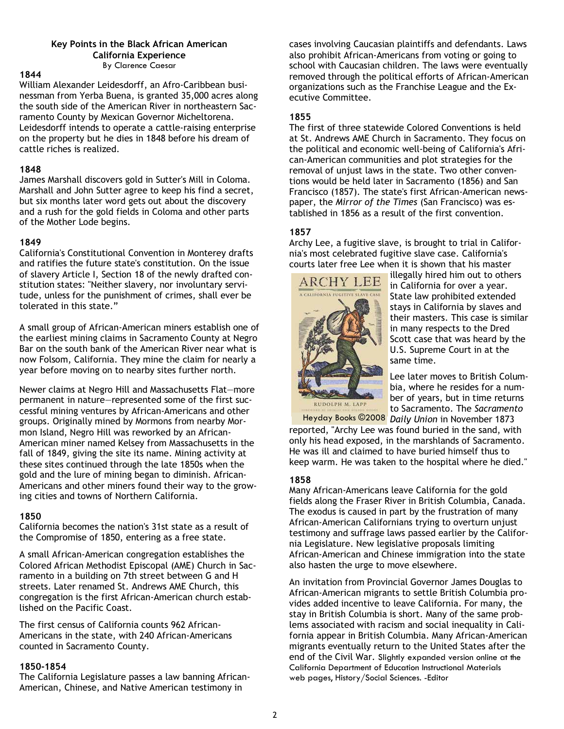#### Key Points in the Black African American California Experience By Clarence Caesar

#### 1844

William Alexander Leidesdorff, an Afro-Caribbean businessman from Yerba Buena, is granted 35,000 acres along the south side of the American River in northeastern Sacramento County by Mexican Governor Micheltorena. Leidesdorff intends to operate a cattle-raising enterprise on the property but he dies in 1848 before his dream of cattle riches is realized.

#### 1848

James Marshall discovers gold in Sutter's Mill in Coloma. Marshall and John Sutter agree to keep his find a secret, but six months later word gets out about the discovery and a rush for the gold fields in Coloma and other parts of the Mother Lode begins.

## 1849

California's Constitutional Convention in Monterey drafts and ratifies the future state's constitution. On the issue of slavery Article I, Section 18 of the newly drafted constitution states: "Neither slavery, nor involuntary servitude, unless for the punishment of crimes, shall ever be tolerated in this state."

A small group of African-American miners establish one of the earliest mining claims in Sacramento County at Negro Bar on the south bank of the American River near what is now Folsom, California. They mine the claim for nearly a year before moving on to nearby sites further north.

Newer claims at Negro Hill and Massachusetts Flat—more permanent in nature—represented some of the first successful mining ventures by African-Americans and other groups. Originally mined by Mormons from nearby Mormon Island, Negro Hill was reworked by an African-American miner named Kelsey from Massachusetts in the fall of 1849, giving the site its name. Mining activity at these sites continued through the late 1850s when the gold and the lure of mining began to diminish. African-Americans and other miners found their way to the growing cities and towns of Northern California.

# 1850

California becomes the nation's 31st state as a result of the Compromise of 1850, entering as a free state.

A small African-American congregation establishes the Colored African Methodist Episcopal (AME) Church in Sacramento in a building on 7th street between G and H streets. Later renamed St. Andrews AME Church, this congregation is the first African-American church established on the Pacific Coast.

The first census of California counts 962 African-Americans in the state, with 240 African-Americans counted in Sacramento County.

## 1850-1854

The California Legislature passes a law banning African-American, Chinese, and Native American testimony in

cases involving Caucasian plaintiffs and defendants. Laws also prohibit African-Americans from voting or going to school with Caucasian children. The laws were eventually removed through the political efforts of African-American organizations such as the Franchise League and the Executive Committee.

## 1855

The first of three statewide Colored Conventions is held at St. Andrews AME Church in Sacramento. They focus on the political and economic well-being of California's African-American communities and plot strategies for the removal of unjust laws in the state. Two other conventions would be held later in Sacramento (1856) and San Francisco (1857). The state's first African-American newspaper, the Mirror of the Times (San Francisco) was established in 1856 as a result of the first convention.

# 1857

Archy Lee, a fugitive slave, is brought to trial in California's most celebrated fugitive slave case. California's courts later free Lee when it is shown that his master



illegally hired him out to others in California for over a year. State law prohibited extended stays in California by slaves and their masters. This case is similar in many respects to the Dred Scott case that was heard by the U.S. Supreme Court in at the same time.

Lee later moves to British Columbia, where he resides for a number of years, but in time returns to Sacramento. The Sacramento

Heyday Books ©2008 Daily Union in November 1873 reported, "Archy Lee was found buried in the sand, with only his head exposed, in the marshlands of Sacramento. He was ill and claimed to have buried himself thus to keep warm. He was taken to the hospital where he died."

## 1858

Many African-Americans leave California for the gold fields along the Fraser River in British Columbia, Canada. The exodus is caused in part by the frustration of many African-American Californians trying to overturn unjust testimony and suffrage laws passed earlier by the California Legislature. New legislative proposals limiting African-American and Chinese immigration into the state also hasten the urge to move elsewhere.

An invitation from Provincial Governor James Douglas to African-American migrants to settle British Columbia provides added incentive to leave California. For many, the stay in British Columbia is short. Many of the same problems associated with racism and social inequality in California appear in British Columbia. Many African-American migrants eventually return to the United States after the end of the Civil War. Slightly expanded version online at the California Department of Education Instructional Materials web pages, History/Social Sciences. -Editor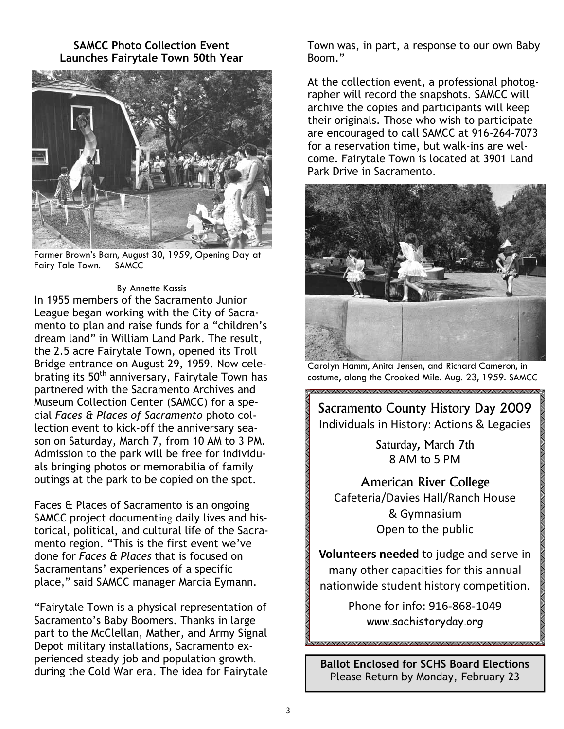SAMCC Photo Collection Event Launches Fairytale Town 50th Year



Farmer Brown's Barn, August 30, 1959, Opening Day at Fairy Tale Town. SAMCC

#### By Annette Kassis

In 1955 members of the Sacramento Junior League began working with the City of Sacramento to plan and raise funds for a "children's dream land" in William Land Park. The result, the 2.5 acre Fairytale Town, opened its Troll Bridge entrance on August 29, 1959. Now celebrating its 50<sup>th</sup> anniversary, Fairytale Town has partnered with the Sacramento Archives and Museum Collection Center (SAMCC) for a special Faces & Places of Sacramento photo collection event to kick-off the anniversary season on Saturday, March 7, from 10 AM to 3 PM. Admission to the park will be free for individuals bringing photos or memorabilia of family outings at the park to be copied on the spot.

Faces & Places of Sacramento is an ongoing SAMCC project documenting daily lives and historical, political, and cultural life of the Sacramento region. "This is the first event we've done for Faces & Places that is focused on Sacramentans' experiences of a specific place," said SAMCC manager Marcia Eymann.

"Fairytale Town is a physical representation of Sacramento's Baby Boomers. Thanks in large part to the McClellan, Mather, and Army Signal Depot military installations, Sacramento experienced steady job and population growth. during the Cold War era. The idea for Fairytale Town was, in part, a response to our own Baby Boom."

At the collection event, a professional photographer will record the snapshots. SAMCC will archive the copies and participants will keep their originals. Those who wish to participate are encouraged to call SAMCC at 916-264-7073 for a reservation time, but walk-ins are welcome. Fairytale Town is located at 3901 Land Park Drive in Sacramento.



Carolyn Hamm, Anita Jensen, and Richard Cameron, in costume, along the Crooked Mile. Aug. 23, 1959. SAMCC

Sacramento County History Day 2009 Individuals in History: Actions & Legacies

> Saturday, March 7th 8 AM to 5 PM

American River College Cafeteria/Davies Hall/Ranch House & Gymnasium Open to the public

Volunteers needed to judge and serve in many other capacities for this annual nationwide student history competition.

> Phone for info: 916-868-1049 www.sachistoryday.org

Ballot Enclosed for SCHS Board Elections Please Return by Monday, February 23